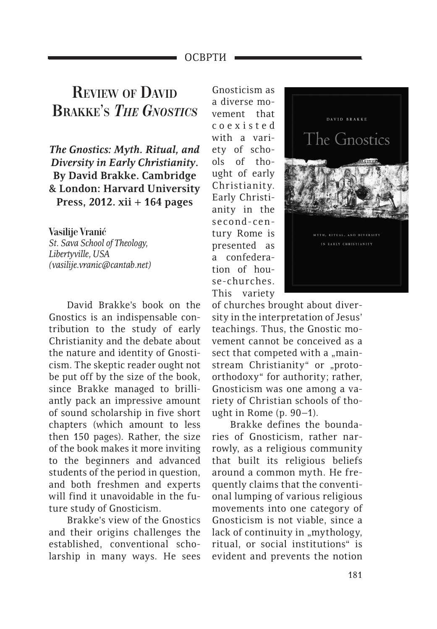## ОСВРТИ

## **Review of David Brakke's** *The Gnostics*

*The Gnostics: Myth. Ritual, and Diversity in Early Christianity***. By David Brakke. Cambridge & London: Harvard University Press, 2012. xii + 164 pages**

**Vasilije Vranić** *St. Sava School of Theology, Libertyville, USA (vasilije.vranic@cantab.net)*

David Brakke's book on the Gnostics is an indispensable contribution to the study of early Christianity and the debate about the nature and identity of Gnosticism. The skeptic reader ought not be put off by the size of the book, since Brakke managed to brilliantly pack an impressive amount of sound scholarship in five short chapters (which amount to less then 150 pages). Rather, the size of the book makes it more inviting to the beginners and advanced students of the period in question, and both freshmen and experts will find it unavoidable in the future study of Gnosticism.

Brakke's view of the Gnostics and their origins challenges the established, conventional scholarship in many ways. He sees

Gnosticism as a diverse movement that c o e x i s t e d with a variety of schools of thought of early Christianity. Early Christianity in the second-century Rome is presented as a confederation of house-churches. This variety



of churches brought about diversity in the interpretation of Jesus' teachings. Thus, the Gnostic movement cannot be conceived as a sect that competed with a "mainstream Christianity" or "protoorthodoxy" for authority; rather, Gnosticism was one among a variety of Christian schools of thought in Rome (p. 90–1).

Brakke defines the boundaries of Gnosticism, rather narrowly, as a religious community that built its religious beliefs around a common myth. He frequently claims that the conventional lumping of various religious movements into one category of Gnosticism is not viable, since a lack of continuity in "mythology, ritual, or social institutions" is evident and prevents the notion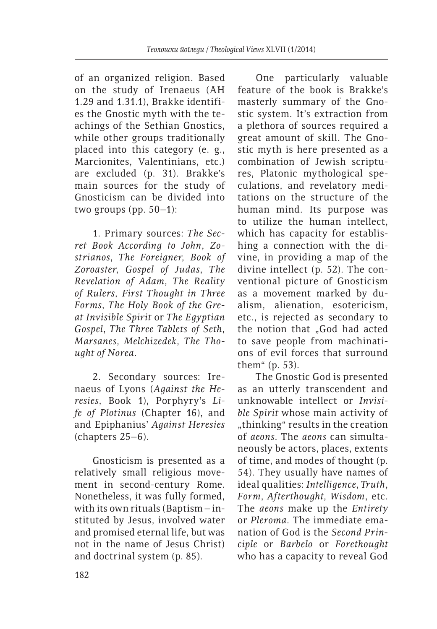of an organized religion. Based on the study of Irenaeus (AH 1.29 and 1.31.1), Brakke identifies the Gnostic myth with the teachings of the Sethian Gnostics, while other groups traditionally placed into this category (e. g., Marcionites, Valentinians, etc.) are excluded (p. 31). Brakke's main sources for the study of Gnosticism can be divided into two groups (pp. 50–1):

1. Primary sources: *The Secret Book According to John*, *Zostrianos*, *The Foreigner*, *Book of Zoroaster*, *Gospel of Judas*, *The Revelation of Adam*, *The Reality of Rulers*, *First Thought in Three Forms*, *The Holy Book of the Great Invisible Spirit* or *The Egyptian Gospel*, *The Three Tablets of Seth*, *Marsanes*, *Melchizedek*, *The Thought of Norea*.

2. Secondary sources: Irenaeus of Lyons (*Against the Heresies*, Book 1), Porphyry's *Life of Plotinus* (Chapter 16), and and Epiphanius' *Against Heresies*  (chapters 25–6).

Gnosticism is presented as a relatively small religious movement in second-century Rome. Nonetheless, it was fully formed, with its own rituals (Baptism  $-$  instituted by Jesus, involved water and promised eternal life, but was not in the name of Jesus Christ) and doctrinal system (p. 85).

One particularly valuable feature of the book is Brakke's masterly summary of the Gnostic system. It's extraction from a plethora of sources required a great amount of skill. The Gnostic myth is here presented as a combination of Jewish scriptures, Platonic mythological speculations, and revelatory meditations on the structure of the human mind. Its purpose was to utilize the human intellect, which has capacity for establishing a connection with the divine, in providing a map of the divine intellect (p. 52). The conventional picture of Gnosticism as a movement marked by dualism, alienation, esotericism, etc., is rejected as secondary to the notion that "God had acted to save people from machinations of evil forces that surround them" (p. 53).

The Gnostic God is presented as an utterly transcendent and unknowable intellect or *Invisible Spirit* whose main activity of "thinking" results in the creation of *aeons*. The *aeons* can simultaneously be actors, places, extents of time, and modes of thought (p. 54). They usually have names of ideal qualities: *Intelligence*, *Truth*, *Form*, *Afterthought*, *Wisdom*, etc. The *aeons* make up the *Entirety* or *Pleroma*. The immediate emanation of God is the *Second Principle* or *Barbelo* or *Forethought* who has a capacity to reveal God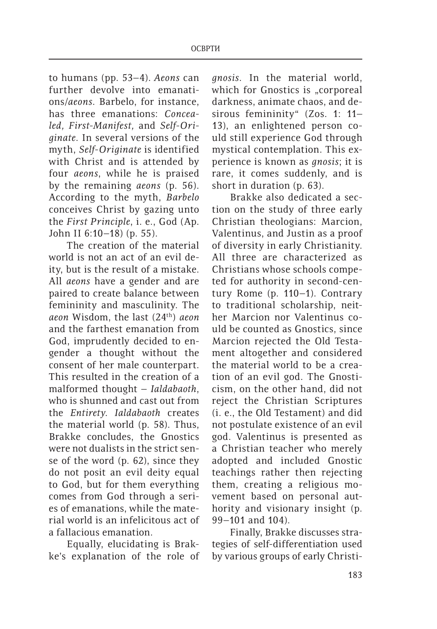to humans (pp. 53–4). *Aeons* can further devolve into emanations/*aeons*. Barbelo, for instance, has three emanations: *Concealed, First-Manifest,* and *Self-Originate*. In several versions of the myth, *Self-Originate* is identified with Christ and is attended by four *aeons*, while he is praised by the remaining *aeons* (p. 56). According to the myth, *Barbelo* conceives Christ by gazing unto the *First Principle*, i. e., God (Ap. John II 6:10–18) (p. 55).

The creation of the material world is not an act of an evil deity, but is the result of a mistake. All *aeons* have a gender and are paired to create balance between femininity and masculinity. The *aeon* Wisdom, the last (24th) *aeon* and the farthest emanation from God, imprudently decided to engender a thought without the consent of her male counterpart. This resulted in the creation of a malformed thought – *Ialdabaoth*, who is shunned and cast out from the *Entirety*. *Ialdabaoth* creates the material world (p. 58). Thus, Brakke concludes, the Gnostics were not dualists in the strict sense of the word (p. 62), since they do not posit an evil deity equal to God, but for them everything comes from God through a series of emanations, while the material world is an infelicitous act of a fallacious emanation.

Equally, elucidating is Brakke's explanation of the role of

*gnosis*. In the material world, which for Gnostics is "corporeal darkness, animate chaos, and desirous femininity" (Zos. 1: 11– 13), an enlightened person could still experience God through mystical contemplation. This experience is known as *gnosis*; it is rare, it comes suddenly, and is short in duration (p. 63).

Brakke also dedicated a section on the study of three early Christian theologians: Marcion, Valentinus, and Justin as a proof of diversity in early Christianity. All three are characterized as Christians whose schools competed for authority in second-century Rome (p. 110–1). Contrary to traditional scholarship, neither Marcion nor Valentinus could be counted as Gnostics, since Marcion rejected the Old Testament altogether and considered the material world to be a creation of an evil god. The Gnosticism, on the other hand, did not reject the Christian Scriptures (i. e., the Old Testament) and did not postulate existence of an evil god. Valentinus is presented as a Christian teacher who merely adopted and included Gnostic teachings rather then rejecting them, creating a religious movement based on personal authority and visionary insight (p. 99–101 and 104).

Finally, Brakke discusses strategies of self-differentiation used by various groups of early Christi